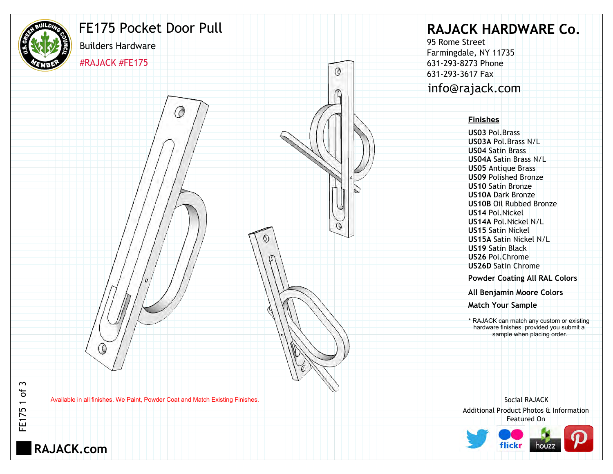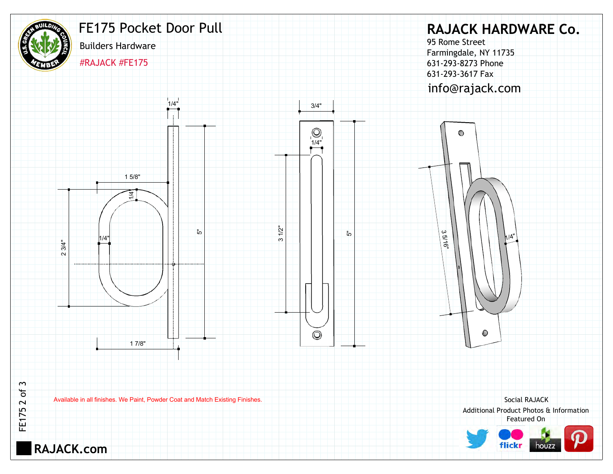